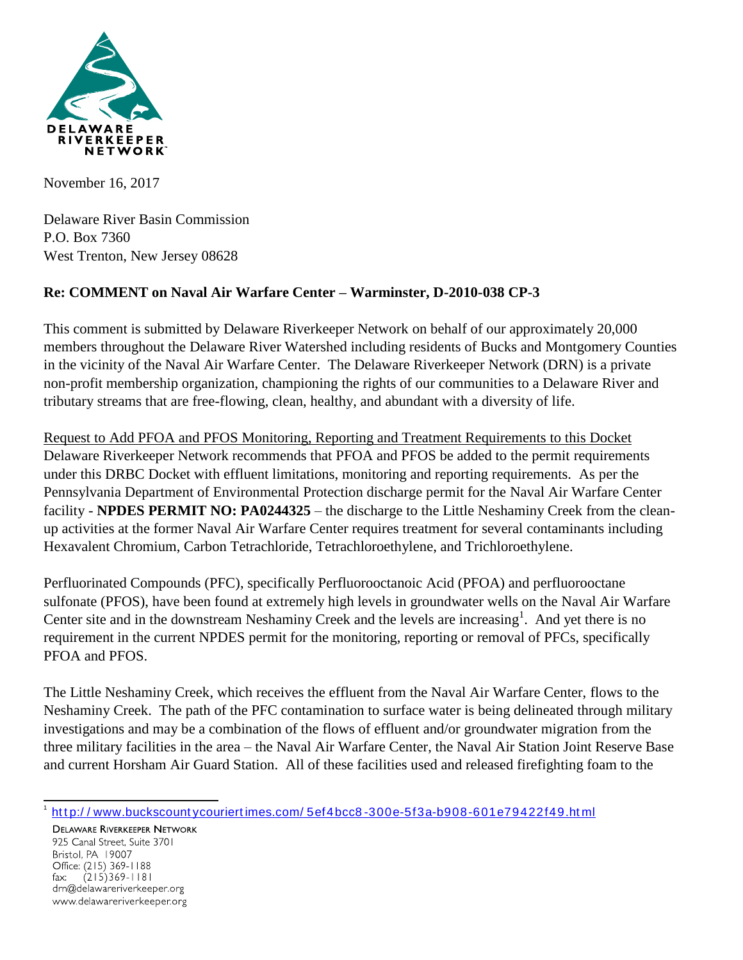

November 16, 2017

Delaware River Basin Commission P.O. Box 7360 West Trenton, New Jersey 08628

## **Re: COMMENT on Naval Air Warfare Center – Warminster, D-2010-038 CP-3**

This comment is submitted by Delaware Riverkeeper Network on behalf of our approximately 20,000 members throughout the Delaware River Watershed including residents of Bucks and Montgomery Counties in the vicinity of the Naval Air Warfare Center. The Delaware Riverkeeper Network (DRN) is a private non-profit membership organization, championing the rights of our communities to a Delaware River and tributary streams that are free-flowing, clean, healthy, and abundant with a diversity of life.

Request to Add PFOA and PFOS Monitoring, Reporting and Treatment Requirements to this Docket Delaware Riverkeeper Network recommends that PFOA and PFOS be added to the permit requirements under this DRBC Docket with effluent limitations, monitoring and reporting requirements. As per the Pennsylvania Department of Environmental Protection discharge permit for the Naval Air Warfare Center facility - **NPDES PERMIT NO: PA0244325** – the discharge to the Little Neshaminy Creek from the cleanup activities at the former Naval Air Warfare Center requires treatment for several contaminants including Hexavalent Chromium, Carbon Tetrachloride, Tetrachloroethylene, and Trichloroethylene.

Perfluorinated Compounds (PFC), specifically Perfluorooctanoic Acid (PFOA) and perfluorooctane sulfonate (PFOS), have been found at extremely high levels in groundwater wells on the Naval Air Warfare Center site and in the downstream Neshaminy Creek and the levels are increasing<sup>1</sup>. And yet there is no requirement in the current NPDES permit for the monitoring, reporting or removal of PFCs, specifically PFOA and PFOS.

The Little Neshaminy Creek, which receives the effluent from the Naval Air Warfare Center, flows to the Neshaminy Creek. The path of the PFC contamination to surface water is being delineated through military investigations and may be a combination of the flows of effluent and/or groundwater migration from the three military facilities in the area – the Naval Air Warfare Center, the Naval Air Station Joint Reserve Base and current Horsham Air Guard Station. All of these facilities used and released firefighting foam to the

 $\overline{a}$ 1 http://www.buckscountycouriertimes.com/5ef4bcc8-300e-5f3a-b908-601e79422f49.html

**DELAWARE RIVERKEEPER NETWORK** 925 Canal Street, Suite 3701 Bristol, PA 19007 Office: (215) 369-1188 fax:  $(215)369 - 1181$ drn@delawareriverkeeper.org www.delawareriverkeeper.org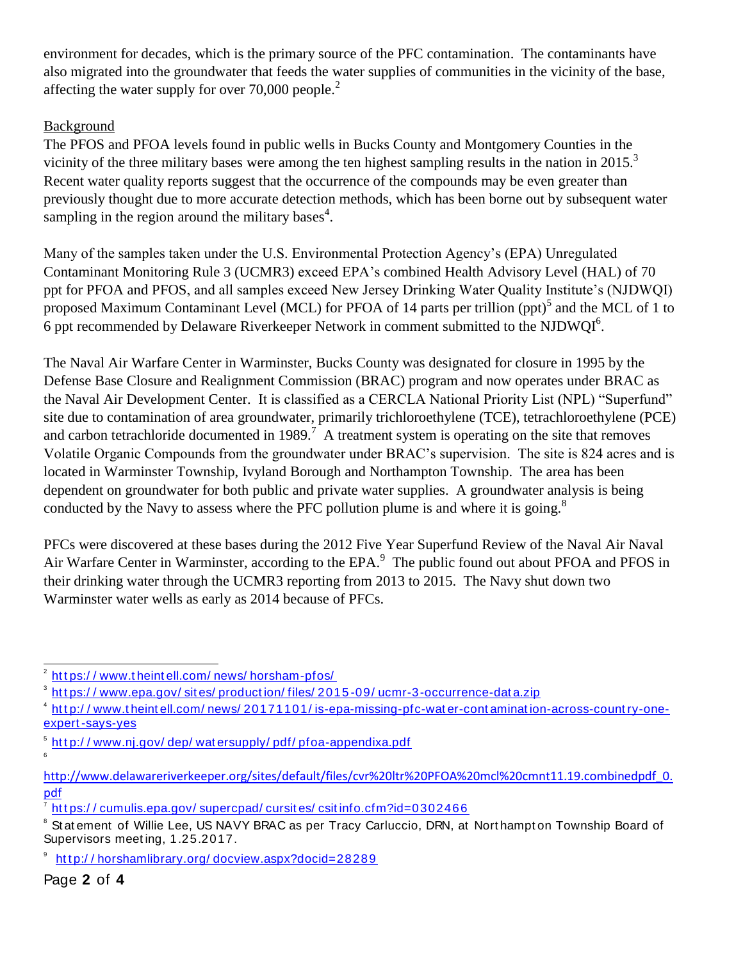environment for decades, which is the primary source of the PFC contamination. The contaminants have also migrated into the groundwater that feeds the water supplies of communities in the vicinity of the base, affecting the water supply for over  $70,000$  people.<sup>2</sup>

## Background

The PFOS and PFOA levels found in public wells in Bucks County and Montgomery Counties in the vicinity of the three military bases were among the ten highest sampling results in the nation in 2015.<sup>3</sup> Recent water quality reports suggest that the occurrence of the compounds may be even greater than previously thought due to more accurate detection methods, which has been borne out by subsequent water sampling in the region around the military bases<sup>4</sup>.

Many of the samples taken under the U.S. Environmental Protection Agency's (EPA) Unregulated Contaminant Monitoring Rule 3 (UCMR3) exceed EPA's combined Health Advisory Level (HAL) of 70 ppt for PFOA and PFOS, and all samples exceed New Jersey Drinking Water Quality Institute's (NJDWQI) proposed Maximum Contaminant Level (MCL) for PFOA of 14 parts per trillion (ppt)<sup>5</sup> and the MCL of 1 to 6 ppt recommended by Delaware Riverkeeper Network in comment submitted to the NJDWQI $6$ .

The Naval Air Warfare Center in Warminster, Bucks County was designated for closure in 1995 by the Defense Base Closure and Realignment Commission (BRAC) program and now operates under BRAC as the Naval Air Development Center. It is classified as a CERCLA National Priority List (NPL) "Superfund" site due to contamination of area groundwater, primarily trichloroethylene (TCE), tetrachloroethylene (PCE) and carbon tetrachloride documented in 1989.<sup>7</sup> A treatment system is operating on the site that removes Volatile Organic Compounds from the groundwater under BRAC's supervision. The site is 824 acres and is located in Warminster Township, Ivyland Borough and Northampton Township. The area has been dependent on groundwater for both public and private water supplies. A groundwater analysis is being conducted by the Navy to assess where the PFC pollution plume is and where it is going.<sup>8</sup>

PFCs were discovered at these bases during the 2012 Five Year Superfund Review of the Naval Air Naval Air Warfare Center in Warminster, according to the EPA.<sup>9</sup> The public found out about PFOA and PFOS in their drinking water through the UCMR3 reporting from 2013 to 2015. The Navy shut down two Warminster water wells as early as 2014 because of PFCs.

6

 $\frac{1}{2}$ ht t ps://www.t heint ell.com/news/horsham-pfos/

 $^{\rm 3}$  <u>https://www.epa.gov/sites/production/files/2015-09/ucmr-3-occurrence-data.zip</u>

<sup>&</sup>lt;sup>4</sup> http://www.theintell.com/news/20171101/is-epa-missing-pfc-water-contamination-across-country-oneexpert [-says-yes](http://www.theintell.com/news/20171101/is-epa-missing-pfc-water-contamination-across-country-one-expert-says-yes)

 $^{\rm 5}$  <u>http://www.nj.gov/dep/watersupply/pdf/pfoa-appendixa.pdf</u>

[http://www.delawareriverkeeper.org/sites/default/files/cvr%20ltr%20PFOA%20mcl%20cmnt11.19.combinedpdf\\_0.](http://www.delawareriverkeeper.org/sites/default/files/cvr%20ltr%20PFOA%20mcl%20cmnt11.19.combinedpdf_0.pdf) [pdf](http://www.delawareriverkeeper.org/sites/default/files/cvr%20ltr%20PFOA%20mcl%20cmnt11.19.combinedpdf_0.pdf)

<sup>7</sup> https://cumulis.epa.gov/supercpad/cursites/csitinfo.cfm?id=0302466

<sup>&</sup>lt;sup>8</sup> Statement of Willie Lee, US NAVY BRAC as per Tracy Carluccio, DRN, at Northampton Township Board of Supervisors meet ing, 1.25.2017.

<sup>9</sup> http://horshamlibrary.org/docview.aspx?docid=28289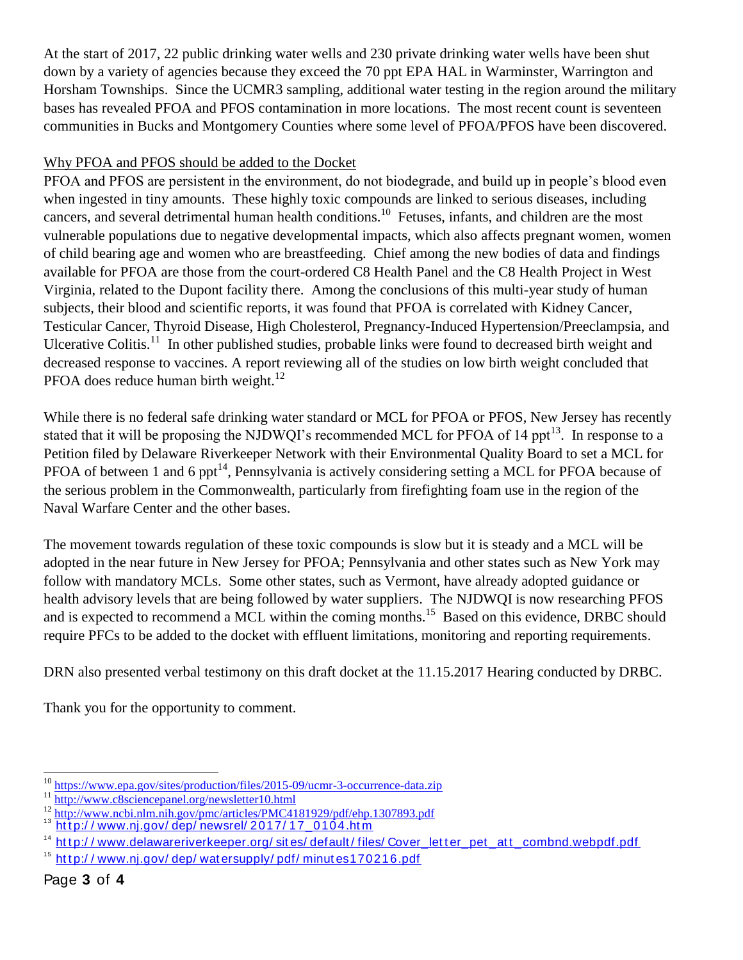At the start of 2017, 22 public drinking water wells and 230 private drinking water wells have been shut down by a variety of agencies because they exceed the 70 ppt EPA HAL in Warminster, Warrington and Horsham Townships. Since the UCMR3 sampling, additional water testing in the region around the military bases has revealed PFOA and PFOS contamination in more locations. The most recent count is seventeen communities in Bucks and Montgomery Counties where some level of PFOA/PFOS have been discovered.

## Why PFOA and PFOS should be added to the Docket

PFOA and PFOS are persistent in the environment, do not biodegrade, and build up in people's blood even when ingested in tiny amounts. These highly toxic compounds are linked to serious diseases, including cancers, and several detrimental human health conditions.<sup>10</sup> Fetuses, infants, and children are the most vulnerable populations due to negative developmental impacts, which also affects pregnant women, women of child bearing age and women who are breastfeeding. Chief among the new bodies of data and findings available for PFOA are those from the court-ordered C8 Health Panel and the C8 Health Project in West Virginia, related to the Dupont facility there. Among the conclusions of this multi-year study of human subjects, their blood and scientific reports, it was found that PFOA is correlated with Kidney Cancer, Testicular Cancer, Thyroid Disease, High Cholesterol, Pregnancy-Induced Hypertension/Preeclampsia, and Ulcerative Colitis.<sup>11</sup> In other published studies, probable links were found to decreased birth weight and decreased response to vaccines. A report reviewing all of the studies on low birth weight concluded that PFOA does reduce human birth weight. $^{12}$ 

While there is no federal safe drinking water standard or MCL for PFOA or PFOS, New Jersey has recently stated that it will be proposing the NJDWQI's recommended MCL for PFOA of 14 ppt<sup>13</sup>. In response to a Petition filed by Delaware Riverkeeper Network with their Environmental Quality Board to set a MCL for PFOA of between 1 and 6 ppt<sup>14</sup>, Pennsylvania is actively considering setting a MCL for PFOA because of the serious problem in the Commonwealth, particularly from firefighting foam use in the region of the Naval Warfare Center and the other bases.

The movement towards regulation of these toxic compounds is slow but it is steady and a MCL will be adopted in the near future in New Jersey for PFOA; Pennsylvania and other states such as New York may follow with mandatory MCLs. Some other states, such as Vermont, have already adopted guidance or health advisory levels that are being followed by water suppliers. The NJDWQI is now researching PFOS and is expected to recommend a MCL within the coming months.<sup>15</sup> Based on this evidence, DRBC should require PFCs to be added to the docket with effluent limitations, monitoring and reporting requirements.

DRN also presented verbal testimony on this draft docket at the 11.15.2017 Hearing conducted by DRBC.

Thank you for the opportunity to comment.

 $\overline{\phantom{a}}$ <sup>10</sup> <https://www.epa.gov/sites/production/files/2015-09/ucmr-3-occurrence-data.zip>

<sup>&</sup>lt;sup>11</sup> <http://www.c8sciencepanel.org/newsletter10.html>

<sup>&</sup>lt;sup>12</sup> <http://www.ncbi.nlm.nih.gov/pmc/articles/PMC4181929/pdf/ehp.1307893.pdf>

<sup>&</sup>lt;sup>13</sup> http://www.nj.gov/dep/newsrel/2017/17\_0104.htm

<sup>&</sup>lt;sup>14</sup> http://www.delawareriverkeeper.org/ sites/ default/ files/ Cover\_letter\_pet\_att\_combnd.webpdf.pdf

 $15$  http://www.nj.gov/dep/watersupply/pdf/minutes170216.pdf